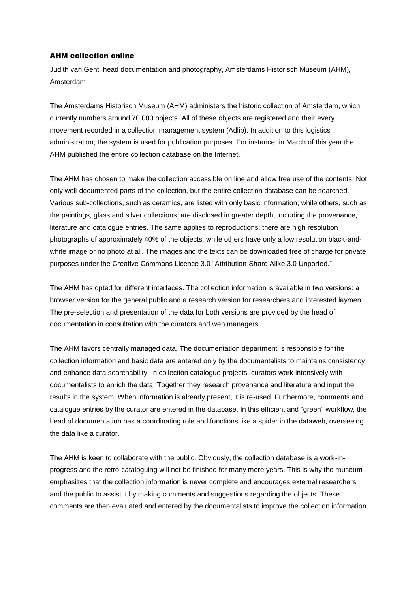## AHM collection online

Judith van Gent, head documentation and photography, Amsterdams Historisch Museum (AHM), Amsterdam

The Amsterdams Historisch Museum (AHM) administers the historic collection of Amsterdam, which currently numbers around 70,000 objects. All of these objects are registered and their every movement recorded in a collection management system (Adlib). In addition to this logistics administration, the system is used for publication purposes. For instance, in March of this year the AHM published the entire collection database on the Internet.

The AHM has chosen to make the collection accessible on line and allow free use of the contents. Not only well-documented parts of the collection, but the entire collection database can be searched. Various sub-collections, such as ceramics, are listed with only basic information; while others, such as the paintings, glass and silver collections, are disclosed in greater depth, including the provenance, literature and catalogue entries. The same applies to reproductions: there are high resolution photographs of approximately 40% of the objects, while others have only a low resolution black-andwhite image or no photo at all. The images and the texts can be downloaded free of charge for private purposes under the Creative Commons Licence 3.0 "Attribution-Share Alike 3.0 Unported."

The AHM has opted for different interfaces. The collection information is available in two versions: a browser version for the general public and a research version for researchers and interested laymen. The pre-selection and presentation of the data for both versions are provided by the head of documentation in consultation with the curators and web managers.

The AHM favors centrally managed data. The documentation department is responsible for the collection information and basic data are entered only by the documentalists to maintains consistency and enhance data searchability. In collection catalogue projects, curators work intensively with documentalists to enrich the data. Together they research provenance and literature and input the results in the system. When information is already present, it is re-used. Furthermore, comments and catalogue entries by the curator are entered in the database. In this efficient and "green" workflow, the head of documentation has a coordinating role and functions like a spider in the dataweb, overseeing the data like a curator.

The AHM is keen to collaborate with the public. Obviously, the collection database is a work-inprogress and the retro-cataloguing will not be finished for many more years. This is why the museum emphasizes that the collection information is never complete and encourages external researchers and the public to assist it by making comments and suggestions regarding the objects. These comments are then evaluated and entered by the documentalists to improve the collection information.